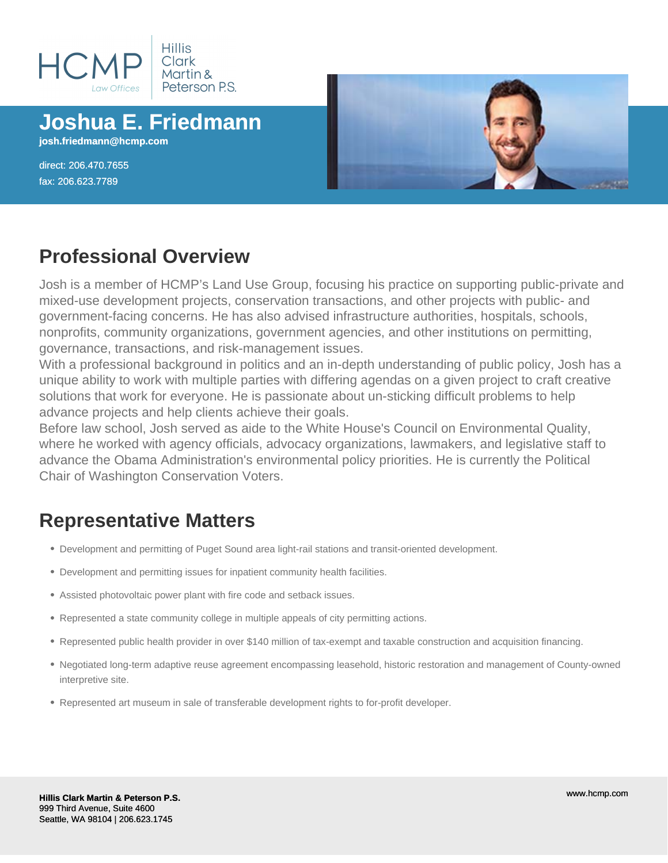

# **Joshua E. Friedmann**

**josh.friedmann@hcmp.com**

direct: 206.470.7655 fax: 206.623.7789



#### **Professional Overview**

Josh is a member of HCMP's Land Use Group, focusing his practice on supporting public-private and mixed-use development projects, conservation transactions, and other projects with public- and government-facing concerns. He has also advised infrastructure authorities, hospitals, schools, nonprofits, community organizations, government agencies, and other institutions on permitting, governance, transactions, and risk-management issues.

With a professional background in politics and an in-depth understanding of public policy, Josh has a unique ability to work with multiple parties with differing agendas on a given project to craft creative solutions that work for everyone. He is passionate about un-sticking difficult problems to help advance projects and help clients achieve their goals.

Before law school, Josh served as aide to the White House's Council on Environmental Quality, where he worked with agency officials, advocacy organizations, lawmakers, and legislative staff to advance the Obama Administration's environmental policy priorities. He is currently the Political Chair of Washington Conservation Voters.

## **Representative Matters**

- Development and permitting of Puget Sound area light-rail stations and transit-oriented development.
- Development and permitting issues for inpatient community health facilities.
- Assisted photovoltaic power plant with fire code and setback issues.
- Represented a state community college in multiple appeals of city permitting actions.
- Represented public health provider in over \$140 million of tax-exempt and taxable construction and acquisition financing.
- Negotiated long-term adaptive reuse agreement encompassing leasehold, historic restoration and management of County-owned interpretive site.
- Represented art museum in sale of transferable development rights to for-profit developer.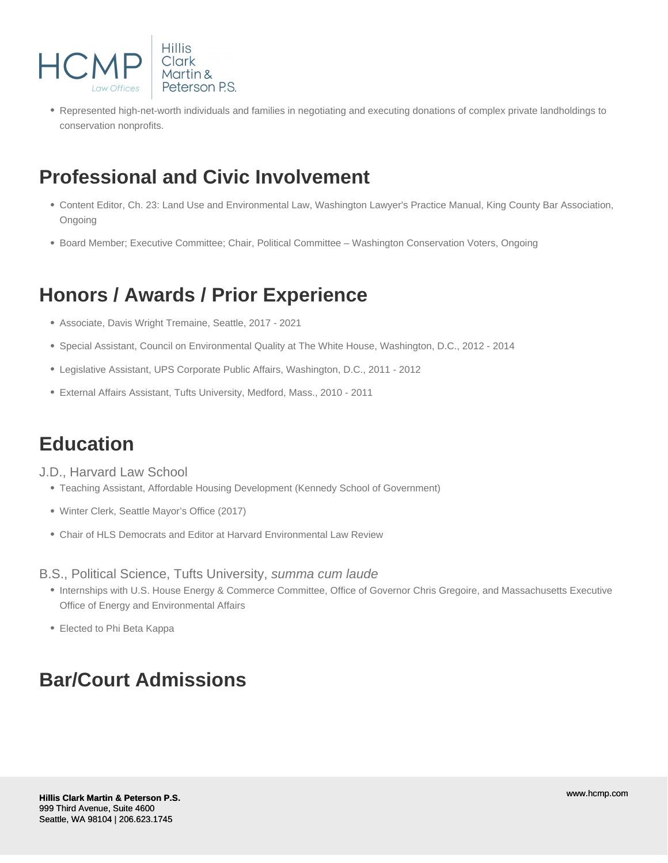

Represented high-net-worth individuals and families in negotiating and executing donations of complex private landholdings to conservation nonprofits.

## **Professional and Civic Involvement**

- Content Editor, Ch. 23: Land Use and Environmental Law, Washington Lawyer's Practice Manual, King County Bar Association, Ongoing
- Board Member; Executive Committee; Chair, Political Committee Washington Conservation Voters, Ongoing

### **Honors / Awards / Prior Experience**

- Associate, Davis Wright Tremaine, Seattle, 2017 2021
- Special Assistant, Council on Environmental Quality at The White House, Washington, D.C., 2012 2014
- Legislative Assistant, UPS Corporate Public Affairs, Washington, D.C., 2011 2012
- External Affairs Assistant, Tufts University, Medford, Mass., 2010 2011

### **Education**

J.D., Harvard Law School

- Teaching Assistant, Affordable Housing Development (Kennedy School of Government)
- Winter Clerk, Seattle Mayor's Office (2017)
- Chair of HLS Democrats and Editor at Harvard Environmental Law Review

B.S., Political Science, Tufts University, summa cum laude

- Internships with U.S. House Energy & Commerce Committee, Office of Governor Chris Gregoire, and Massachusetts Executive Office of Energy and Environmental Affairs
- Elected to Phi Beta Kappa

### **Bar/Court Admissions**